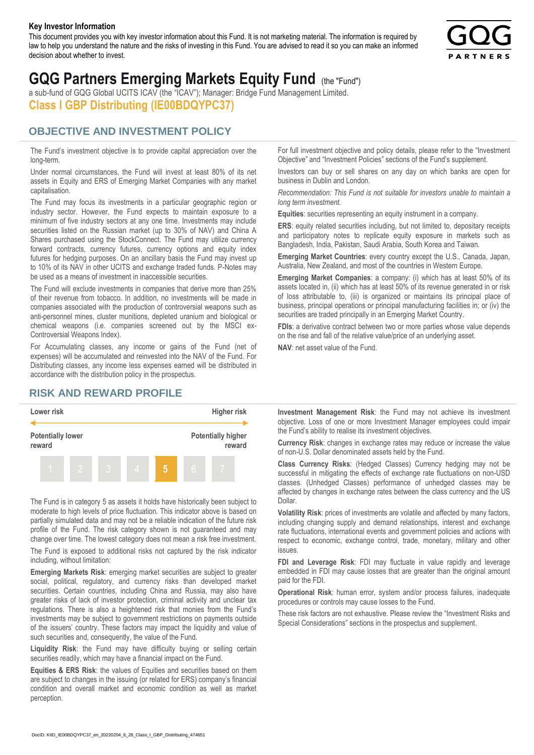#### **Key Investor Information**

This document provides you with key investor information about this Fund. It is not marketing material. The information is required by law to help you understand the nature and the risks of investing in this Fund. You are advised to read it so you can make an informed decision about whether to invest.



# **GQG Partners Emerging Markets Equity Fund** (the "Fund")

a sub-fund of GQG Global UCITS ICAV (the "ICAV"); Manager: Bridge Fund Management Limited. **Class I GBP Distributing (IE00BDQYPC37)**

#### **OBJECTIVE AND INVESTMENT POLICY**

The Fund's investment objective is to provide capital appreciation over the long-term.

Under normal circumstances, the Fund will invest at least 80% of its net assets in Equity and ERS of Emerging Market Companies with any market capitalisation.

The Fund may focus its investments in a particular geographic region or industry sector. However, the Fund expects to maintain exposure to a minimum of five industry sectors at any one time. Investments may include securities listed on the Russian market (up to 30% of NAV) and China A Shares purchased using the StockConnect. The Fund may utilize currency forward contracts, currency futures, currency options and equity index futures for hedging purposes. On an ancillary basis the Fund may invest up to 10% of its NAV in other UCITS and exchange traded funds. P-Notes may be used as a means of investment in inaccessible securities.

The Fund will exclude investments in companies that derive more than 25% of their revenue from tobacco. In addition, no investments will be made in companies associated with the production of controversial weapons such as anti-personnel mines, cluster munitions, depleted uranium and biological or chemical weapons (i.e. companies screened out by the MSCI ex-Controversial Weapons Index).

For Accumulating classes, any income or gains of the Fund (net of expenses) will be accumulated and reinvested into the NAV of the Fund. For Distributing classes, any income less expenses earned will be distributed in accordance with the distribution policy in the prospectus.

### **RISK AND REWARD PROFILE**



The Fund is in category 5 as assets it holds have historically been subject to moderate to high levels of price fluctuation. This indicator above is based on partially simulated data and may not be a reliable indication of the future risk profile of the Fund. The risk category shown is not guaranteed and may change over time. The lowest category does not mean a risk free investment.

The Fund is exposed to additional risks not captured by the risk indicator including, without limitation:

**Emerging Markets Risk**: emerging market securities are subject to greater social, political, regulatory, and currency risks than developed market securities. Certain countries, including China and Russia, may also have greater risks of lack of investor protection, criminal activity and unclear tax regulations. There is also a heightened risk that monies from the Fund's investments may be subject to government restrictions on payments outside of the issuers' country. These factors may impact the liquidity and value of such securities and, consequently, the value of the Fund.

**Liquidity Risk**: the Fund may have difficulty buying or selling certain securities readily, which may have a financial impact on the Fund.

**Equities & ERS Risk**: the values of Equities and securities based on them are subject to changes in the issuing (or related for ERS) company's financial condition and overall market and economic condition as well as market perception.

For full investment objective and policy details, please refer to the "Investment Objective" and "Investment Policies" sections of the Fund's supplement.

Investors can buy or sell shares on any day on which banks are open for business in Dublin and London.

*Recommendation: This Fund is not suitable for investors unable to maintain a long term investment.*

**Equities**: securities representing an equity instrument in a company.

**ERS:** equity related securities including, but not limited to, depositary receipts and participatory notes to replicate equity exposure in markets such as Bangladesh, India, Pakistan, Saudi Arabia, South Korea and Taiwan.

**Emerging Market Countries**: every country except the U.S., Canada, Japan, Australia, New Zealand, and most of the countries in Western Europe.

**Emerging Market Companies**: a company: (i) which has at least 50% of its assets located in, (ii) which has at least 50% of its revenue generated in or risk of loss attributable to, (iii) is organized or maintains its principal place of business, principal operations or principal manufacturing facilities in; or (iv) the securities are traded principally in an Emerging Market Country.

**FDIs**: a derivative contract between two or more parties whose value depends on the rise and fall of the relative value/price of an underlying asset.

**NAV**: net asset value of the Fund.

**Investment Management Risk**: the Fund may not achieve its investment objective. Loss of one or more Investment Manager employees could impair the Fund's ability to realise its investment objectives.

**Currency Risk**: changes in exchange rates may reduce or increase the value of non-U.S. Dollar denominated assets held by the Fund.

**Class Currency Risks**: (Hedged Classes) Currency hedging may not be successful in mitigating the effects of exchange rate fluctuations on non-USD classes. (Unhedged Classes) performance of unhedged classes may be affected by changes in exchange rates between the class currency and the US Dollar.

**Volatility Risk**: prices of investments are volatile and affected by many factors, including changing supply and demand relationships, interest and exchange rate fluctuations, international events and government policies and actions with respect to economic, exchange control, trade, monetary, military and other issues.

**FDI and Leverage Risk**: FDI may fluctuate in value rapidly and leverage embedded in FDI may cause losses that are greater than the original amount paid for the FDI.

**Operational Risk**: human error, system and/or process failures, inadequate procedures or controls may cause losses to the Fund.

These risk factors are not exhaustive. Please review the "Investment Risks and Special Considerations" sections in the prospectus and supplement.